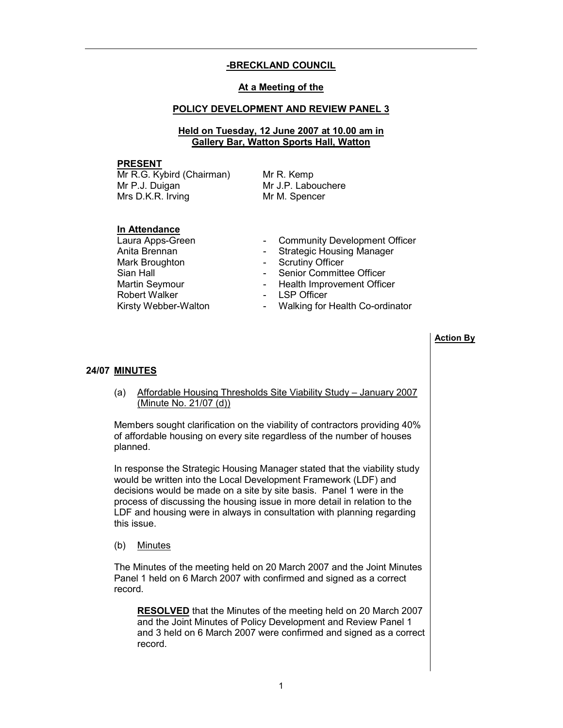# -BRECKLAND COUNCIL

# At a Meeting of the

#### POLICY DEVELOPMENT AND REVIEW PANEL 3

#### Held on Tuesday, 12 June 2007 at 10.00 am in Gallery Bar, Watton Sports Hall, Watton

#### PRESENT

Mr R.G. Kybird (Chairman) Mr P.J. Duigan Mrs D.K.R. Irving

Mr R. Kemp Mr J.P. Labouchere Mr M. Spencer

#### In Attendance

Mark Broughton **- Scrutiny Officer**<br>Sian Hall **Supplement - Senior Committen** Robert Walker **- LSP Officer** 

- Laura Apps-Green Community Development Officer
- Anita Brennan  **Strategic Housing Manager** 
	-
	- Senior Committee Officer
- Martin Seymour  **Health Improvement Officer** 
	-
- Kirsty Webber-Walton Walking for Health Co-ordinator

# Action By

#### 24/07 MINUTES

 (a) Affordable Housing Thresholds Site Viability Study – January 2007 (Minute No. 21/07 (d))

Members sought clarification on the viability of contractors providing 40% of affordable housing on every site regardless of the number of houses planned.

In response the Strategic Housing Manager stated that the viability study would be written into the Local Development Framework (LDF) and decisions would be made on a site by site basis. Panel 1 were in the process of discussing the housing issue in more detail in relation to the LDF and housing were in always in consultation with planning regarding this issue.

(b) Minutes

The Minutes of the meeting held on 20 March 2007 and the Joint Minutes Panel 1 held on 6 March 2007 with confirmed and signed as a correct record.

RESOLVED that the Minutes of the meeting held on 20 March 2007 and the Joint Minutes of Policy Development and Review Panel 1 and 3 held on 6 March 2007 were confirmed and signed as a correct record.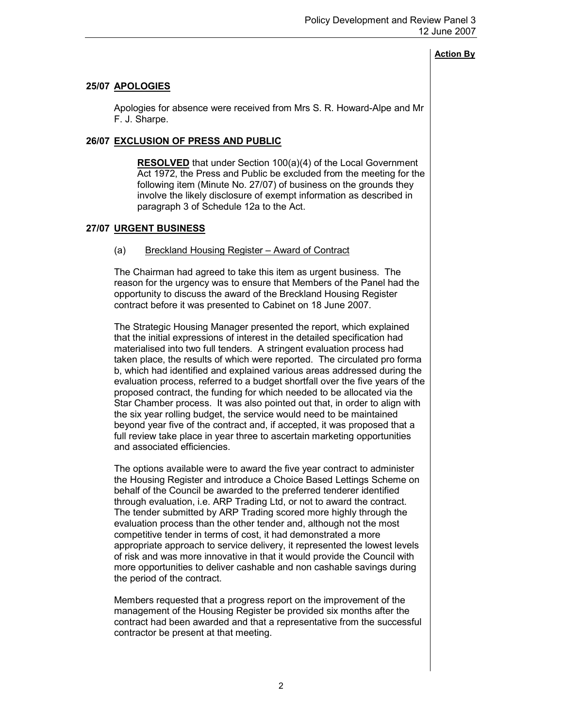# 25/07 APOLOGIES

 Apologies for absence were received from Mrs S. R. Howard-Alpe and Mr F. J. Sharpe.

# 26/07 EXCLUSION OF PRESS AND PUBLIC

RESOLVED that under Section 100(a)(4) of the Local Government Act 1972, the Press and Public be excluded from the meeting for the following item (Minute No. 27/07) of business on the grounds they involve the likely disclosure of exempt information as described in paragraph 3 of Schedule 12a to the Act.

# 27/07 URGENT BUSINESS

# (a) Breckland Housing Register – Award of Contract

The Chairman had agreed to take this item as urgent business. The reason for the urgency was to ensure that Members of the Panel had the opportunity to discuss the award of the Breckland Housing Register contract before it was presented to Cabinet on 18 June 2007.

The Strategic Housing Manager presented the report, which explained that the initial expressions of interest in the detailed specification had materialised into two full tenders. A stringent evaluation process had taken place, the results of which were reported. The circulated pro forma b, which had identified and explained various areas addressed during the evaluation process, referred to a budget shortfall over the five years of the proposed contract, the funding for which needed to be allocated via the Star Chamber process. It was also pointed out that, in order to align with the six year rolling budget, the service would need to be maintained beyond year five of the contract and, if accepted, it was proposed that a full review take place in year three to ascertain marketing opportunities and associated efficiencies.

The options available were to award the five year contract to administer the Housing Register and introduce a Choice Based Lettings Scheme on behalf of the Council be awarded to the preferred tenderer identified through evaluation, i.e. ARP Trading Ltd, or not to award the contract. The tender submitted by ARP Trading scored more highly through the evaluation process than the other tender and, although not the most competitive tender in terms of cost, it had demonstrated a more appropriate approach to service delivery, it represented the lowest levels of risk and was more innovative in that it would provide the Council with more opportunities to deliver cashable and non cashable savings during the period of the contract.

Members requested that a progress report on the improvement of the management of the Housing Register be provided six months after the contract had been awarded and that a representative from the successful contractor be present at that meeting.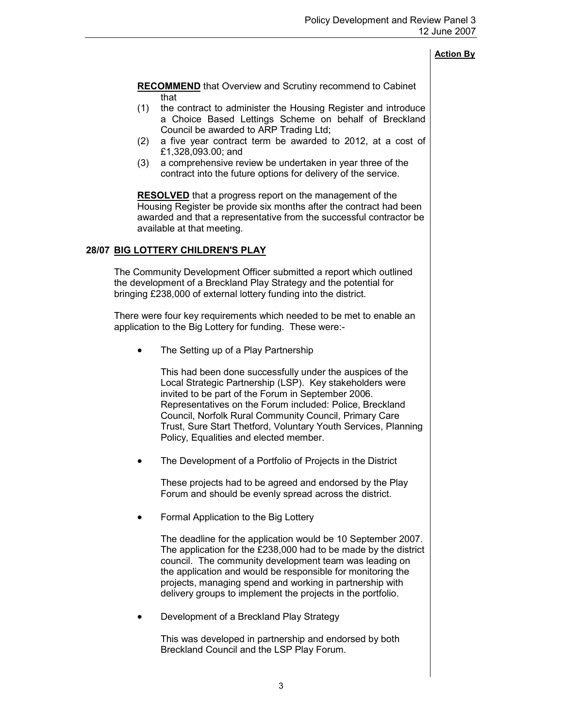**RECOMMEND** that Overview and Scrutiny recommend to Cabinet that (1) the contract to administer the Housing Register and introduce a Choice Based Lettings Scheme on behalf of Breckland Council be awarded to ARP Trading Ltd; (2) a five year contract term be awarded to 2012, at a cost of £1,328,093.00; and (3) a comprehensive review be undertaken in year three of the contract into the future options for delivery of the service. RESOLVED that a progress report on the management of the Housing Register be provide six months after the contract had been awarded and that a representative from the successful contractor be available at that meeting. 28/07 BIG LOTTERY CHILDREN'S PLAY The Community Development Officer submitted a report which outlined the development of a Breckland Play Strategy and the potential for bringing £238,000 of external lottery funding into the district. There were four key requirements which needed to be met to enable an application to the Big Lottery for funding. These were:- The Setting up of a Play Partnership This had been done successfully under the auspices of the Local Strategic Partnership (LSP). Key stakeholders were invited to be part of the Forum in September 2006. Representatives on the Forum included: Police, Breckland Council, Norfolk Rural Community Council, Primary Care Trust, Sure Start Thetford, Voluntary Youth Services, Planning Policy, Equalities and elected member.

The Development of a Portfolio of Projects in the District

These projects had to be agreed and endorsed by the Play Forum and should be evenly spread across the district.

• Formal Application to the Big Lottery

The deadline for the application would be 10 September 2007. The application for the £238,000 had to be made by the district council. The community development team was leading on the application and would be responsible for monitoring the projects, managing spend and working in partnership with delivery groups to implement the projects in the portfolio.

• Development of a Breckland Play Strategy

This was developed in partnership and endorsed by both Breckland Council and the LSP Play Forum.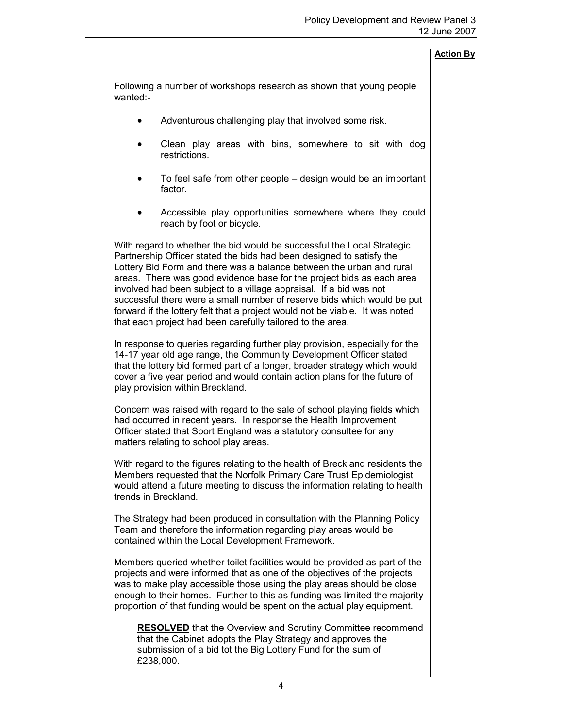Following a number of workshops research as shown that young people wanted:-

- Adventurous challenging play that involved some risk.
- Clean play areas with bins, somewhere to sit with dog restrictions.
- To feel safe from other people design would be an important factor.
- Accessible play opportunities somewhere where they could reach by foot or bicycle.

With regard to whether the bid would be successful the Local Strategic Partnership Officer stated the bids had been designed to satisfy the Lottery Bid Form and there was a balance between the urban and rural areas. There was good evidence base for the project bids as each area involved had been subject to a village appraisal. If a bid was not successful there were a small number of reserve bids which would be put forward if the lottery felt that a project would not be viable. It was noted that each project had been carefully tailored to the area.

In response to queries regarding further play provision, especially for the 14-17 year old age range, the Community Development Officer stated that the lottery bid formed part of a longer, broader strategy which would cover a five year period and would contain action plans for the future of play provision within Breckland.

Concern was raised with regard to the sale of school playing fields which had occurred in recent years. In response the Health Improvement Officer stated that Sport England was a statutory consultee for any matters relating to school play areas.

With regard to the figures relating to the health of Breckland residents the Members requested that the Norfolk Primary Care Trust Epidemiologist would attend a future meeting to discuss the information relating to health trends in Breckland.

The Strategy had been produced in consultation with the Planning Policy Team and therefore the information regarding play areas would be contained within the Local Development Framework.

Members queried whether toilet facilities would be provided as part of the projects and were informed that as one of the objectives of the projects was to make play accessible those using the play areas should be close enough to their homes. Further to this as funding was limited the majority proportion of that funding would be spent on the actual play equipment.

RESOLVED that the Overview and Scrutiny Committee recommend that the Cabinet adopts the Play Strategy and approves the submission of a bid tot the Big Lottery Fund for the sum of £238,000.